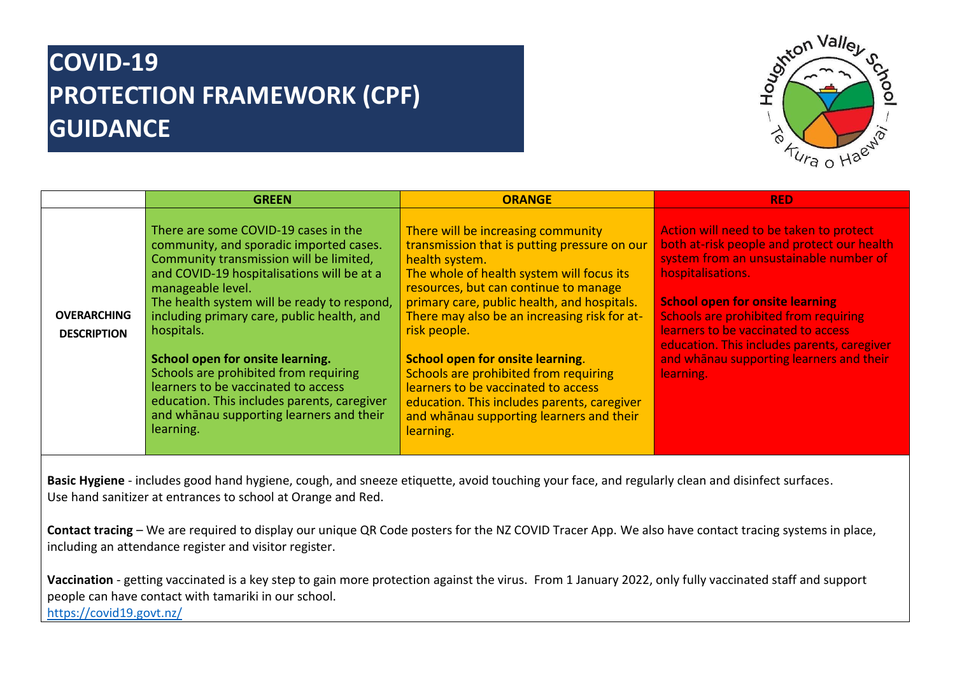## **COVID-19 PROTECTION FRAMEWORK (CPF) GUIDANCE**



|                                          | <b>GREEN</b>                                                                                                                                                                                                                                                                                                                                                                                                                                                                                                                         | <b>ORANGE</b>                                                                                                                                                                                                                                                                                                                                                                                                                                                                                                                         | <b>RED</b>                                                                                                                                                                                                                                                                                                                                                                                    |
|------------------------------------------|--------------------------------------------------------------------------------------------------------------------------------------------------------------------------------------------------------------------------------------------------------------------------------------------------------------------------------------------------------------------------------------------------------------------------------------------------------------------------------------------------------------------------------------|---------------------------------------------------------------------------------------------------------------------------------------------------------------------------------------------------------------------------------------------------------------------------------------------------------------------------------------------------------------------------------------------------------------------------------------------------------------------------------------------------------------------------------------|-----------------------------------------------------------------------------------------------------------------------------------------------------------------------------------------------------------------------------------------------------------------------------------------------------------------------------------------------------------------------------------------------|
| <b>OVERARCHING</b><br><b>DESCRIPTION</b> | There are some COVID-19 cases in the<br>community, and sporadic imported cases.<br>Community transmission will be limited,<br>and COVID-19 hospitalisations will be at a<br>manageable level.<br>The health system will be ready to respond,<br>including primary care, public health, and<br>hospitals.<br>School open for onsite learning.<br>Schools are prohibited from requiring<br>learners to be vaccinated to access<br>education. This includes parents, caregiver<br>and whānau supporting learners and their<br>learning. | There will be increasing community<br>transmission that is putting pressure on our<br>health system.<br>The whole of health system will focus its<br>resources, but can continue to manage<br>primary care, public health, and hospitals.<br>There may also be an increasing risk for at-<br>risk people.<br>School open for onsite learning.<br>Schools are prohibited from requiring<br>learners to be vaccinated to access<br>education. This includes parents, caregiver<br>and whanau supporting learners and their<br>learning. | Action will need to be taken to protect<br>both at-risk people and protect our health<br>system from an unsustainable number of<br>hospitalisations.<br><b>School open for onsite learning</b><br><b>Schools are prohibited from requiring</b><br>learners to be vaccinated to access<br>education. This includes parents, caregiver<br>and whanau supporting learners and their<br>learning. |

**Basic Hygiene** - includes good hand hygiene, cough, and sneeze etiquette, avoid touching your face, and regularly clean and disinfect surfaces. Use hand sanitizer at entrances to school at Orange and Red.

**Contact tracing** – We are required to display our unique QR Code posters for the NZ COVID Tracer App. We also have contact tracing systems in place, including an attendance register and visitor register.

**Vaccination** - getting vaccinated is a key step to gain more protection against the virus. From 1 January 2022, only fully vaccinated staff and support people can have contact with tamariki in our school.

<https://covid19.govt.nz/>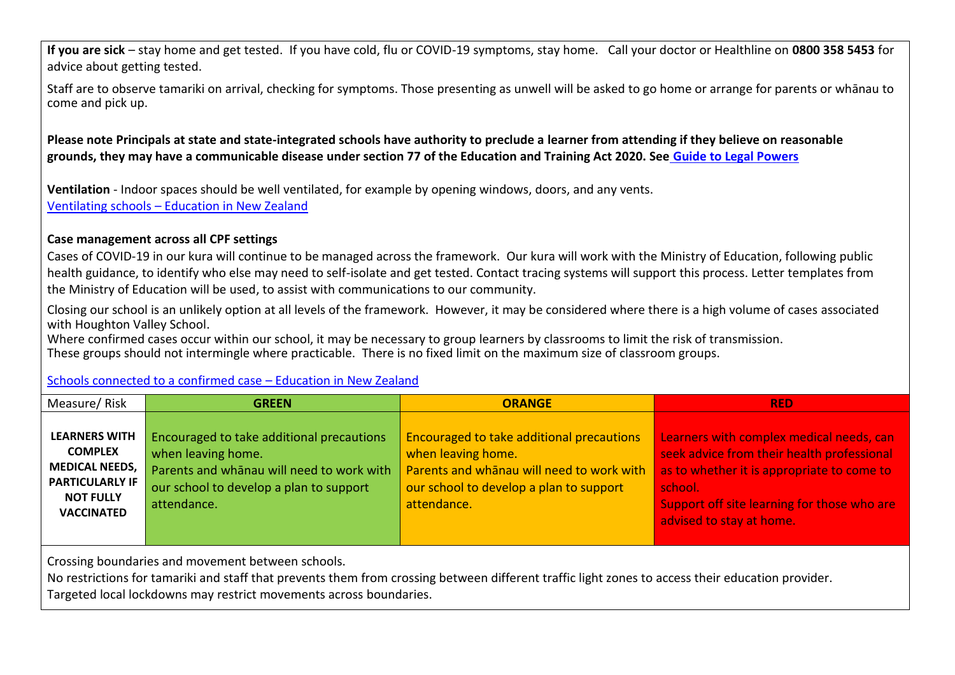**If you are sick** – stay home and get tested. If you have cold, flu or COVID-19 symptoms, stay home. Call your doctor or Healthline on **0800 358 5453** for advice about getting tested.

Staff are to observe tamariki on arrival, checking for symptoms. Those presenting as unwell will be asked to go home or arrange for parents or whānau to come and pick up.

**Please note Principals at state and state-integrated schools have authority to preclude a learner from attending if they believe on reasonable grounds, they may have a communicable disease under section 77 of the Education and Training Act 2020. See Guide to Legal Powers**

**Ventilation** - Indoor spaces should be well ventilated, for example by opening windows, doors, and any vents. Ventilating schools – Education in New Zealand

## **Case management across all CPF settings**

Cases of COVID-19 in our kura will continue to be managed across the framework. Our kura will work with the Ministry of Education, following public health guidance, to identify who else may need to self-isolate and get tested. Contact tracing systems will support this process. Letter templates from the Ministry of Education will be used, to assist with communications to our community.

Closing our school is an unlikely option at all levels of the framework. However, it may be considered where there is a high volume of cases associated with Houghton Valley School.

Where confirmed cases occur within our school, it may be necessary to group learners by classrooms to limit the risk of transmission. These groups should not intermingle where practicable. There is no fixed limit on the maximum size of classroom groups.

## Schools connected to a confirmed case – Education in New Zealand

| Measure/Risk                                                                                                                       | <b>GREEN</b>                                                                                                                                                           | <b>ORANGE</b>                                                                                                                                                                 | <b>RED</b>                                                                                                                                                                                                                 |
|------------------------------------------------------------------------------------------------------------------------------------|------------------------------------------------------------------------------------------------------------------------------------------------------------------------|-------------------------------------------------------------------------------------------------------------------------------------------------------------------------------|----------------------------------------------------------------------------------------------------------------------------------------------------------------------------------------------------------------------------|
| <b>LEARNERS WITH</b><br><b>COMPLEX</b><br><b>MEDICAL NEEDS,</b><br><b>PARTICULARLY IF</b><br><b>NOT FULLY</b><br><b>VACCINATED</b> | Encouraged to take additional precautions<br>when leaving home.<br>Parents and whanau will need to work with<br>our school to develop a plan to support<br>attendance. | <b>Encouraged to take additional precautions</b><br>when leaving home.<br>Parents and whanau will need to work with<br>our school to develop a plan to support<br>attendance. | Learners with complex medical needs, can<br>seek advice from their health professional<br>as to whether it is appropriate to come to<br>school.<br>Support off site learning for those who are<br>advised to stay at home. |
|                                                                                                                                    |                                                                                                                                                                        |                                                                                                                                                                               |                                                                                                                                                                                                                            |

Crossing boundaries and movement between schools.

No restrictions for tamariki and staff that prevents them from crossing between different traffic light zones to access their education provider. Targeted local lockdowns may restrict movements across boundaries.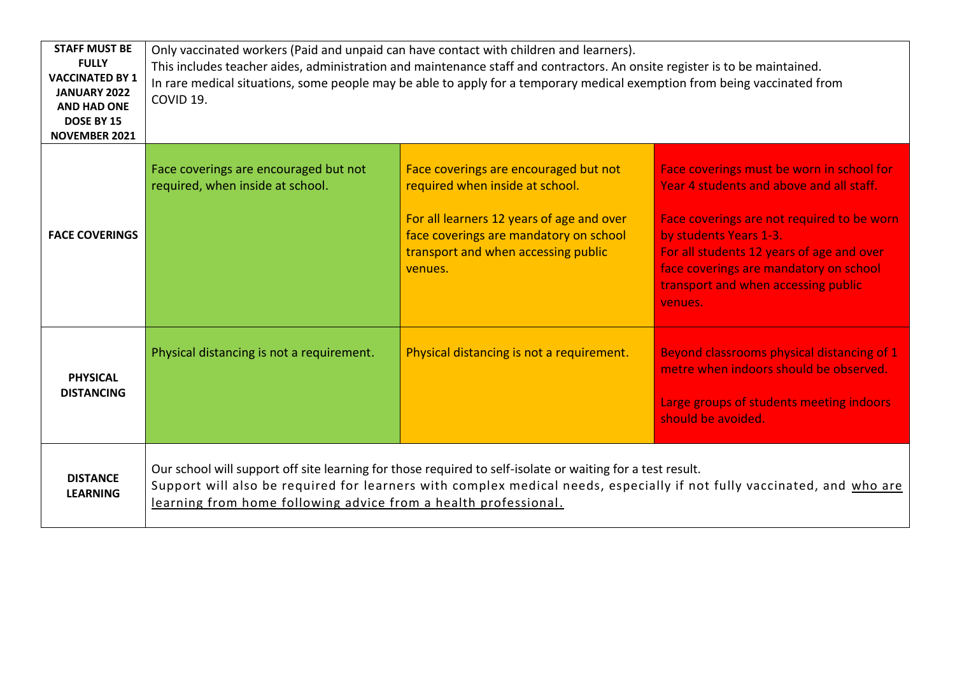| <b>STAFF MUST BE</b><br><b>FULLY</b><br><b>VACCINATED BY 1</b><br><b>JANUARY 2022</b><br><b>AND HAD ONE</b><br>DOSE BY 15<br><b>NOVEMBER 2021</b> | Only vaccinated workers (Paid and unpaid can have contact with children and learners).<br>This includes teacher aides, administration and maintenance staff and contractors. An onsite register is to be maintained.<br>In rare medical situations, some people may be able to apply for a temporary medical exemption from being vaccinated from<br>COVID 19. |                                                                                                                                                                                                                   |                                                                                                                                                                                                                                                                                                        |
|---------------------------------------------------------------------------------------------------------------------------------------------------|----------------------------------------------------------------------------------------------------------------------------------------------------------------------------------------------------------------------------------------------------------------------------------------------------------------------------------------------------------------|-------------------------------------------------------------------------------------------------------------------------------------------------------------------------------------------------------------------|--------------------------------------------------------------------------------------------------------------------------------------------------------------------------------------------------------------------------------------------------------------------------------------------------------|
| <b>FACE COVERINGS</b>                                                                                                                             | Face coverings are encouraged but not<br>required, when inside at school.                                                                                                                                                                                                                                                                                      | Face coverings are encouraged but not<br>required when inside at school.<br>For all learners 12 years of age and over<br>face coverings are mandatory on school<br>transport and when accessing public<br>venues. | Face coverings must be worn in school for<br>Year 4 students and above and all staff.<br>Face coverings are not required to be worn<br>by students Years 1-3.<br>For all students 12 years of age and over<br>face coverings are mandatory on school<br>transport and when accessing public<br>venues. |
| <b>PHYSICAL</b><br><b>DISTANCING</b>                                                                                                              | Physical distancing is not a requirement.                                                                                                                                                                                                                                                                                                                      | Physical distancing is not a requirement.                                                                                                                                                                         | <b>Beyond classrooms physical distancing of 1</b><br>metre when indoors should be observed.<br>Large groups of students meeting indoors<br>should be avoided.                                                                                                                                          |
| <b>DISTANCE</b><br><b>LEARNING</b>                                                                                                                | Our school will support off site learning for those required to self-isolate or waiting for a test result.<br>Support will also be required for learners with complex medical needs, especially if not fully vaccinated, and who are<br>learning from home following advice from a health professional.                                                        |                                                                                                                                                                                                                   |                                                                                                                                                                                                                                                                                                        |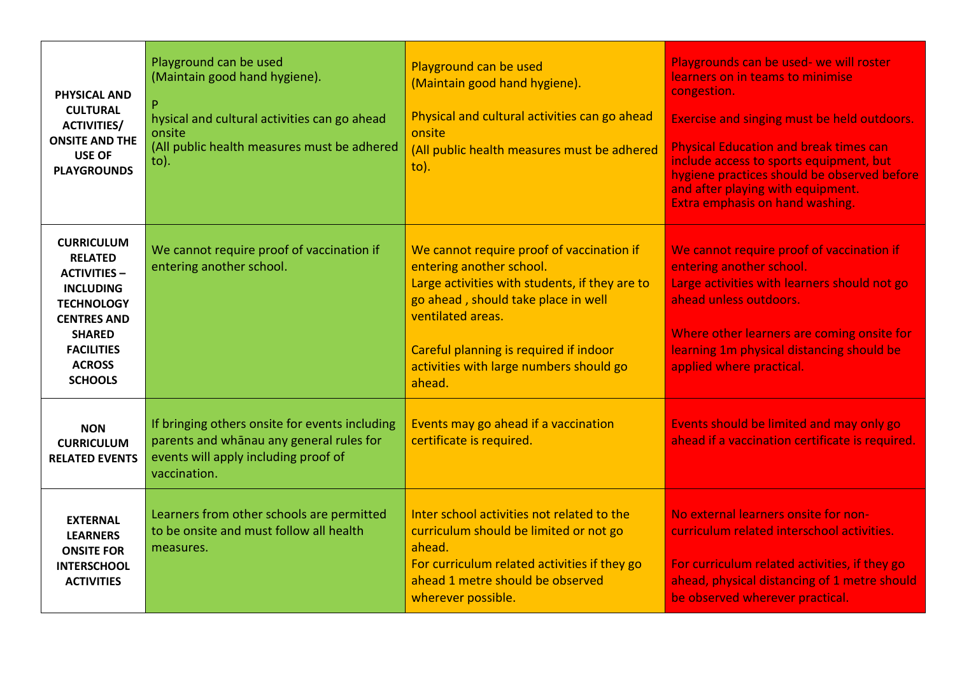| <b>PHYSICAL AND</b><br><b>CULTURAL</b><br><b>ACTIVITIES/</b><br><b>ONSITE AND THE</b><br><b>USE OF</b><br><b>PLAYGROUNDS</b>                                                                       | Playground can be used<br>(Maintain good hand hygiene).<br>hysical and cultural activities can go ahead<br>onsite<br>(All public health measures must be adhered<br>$to)$ . | Playground can be used<br>(Maintain good hand hygiene).<br>Physical and cultural activities can go ahead<br>onsite<br>(All public health measures must be adhered<br>$\mathsf{to}$ ).                                                                                              | Playgrounds can be used- we will roster<br>learners on in teams to minimise<br>congestion.<br>Exercise and singing must be held outdoors.<br><b>Physical Education and break times can</b><br>include access to sports equipment, but<br>hygiene practices should be observed before<br>and after playing with equipment.<br>Extra emphasis on hand washing. |
|----------------------------------------------------------------------------------------------------------------------------------------------------------------------------------------------------|-----------------------------------------------------------------------------------------------------------------------------------------------------------------------------|------------------------------------------------------------------------------------------------------------------------------------------------------------------------------------------------------------------------------------------------------------------------------------|--------------------------------------------------------------------------------------------------------------------------------------------------------------------------------------------------------------------------------------------------------------------------------------------------------------------------------------------------------------|
| <b>CURRICULUM</b><br><b>RELATED</b><br><b>ACTIVITIES -</b><br><b>INCLUDING</b><br><b>TECHNOLOGY</b><br><b>CENTRES AND</b><br><b>SHARED</b><br><b>FACILITIES</b><br><b>ACROSS</b><br><b>SCHOOLS</b> | We cannot require proof of vaccination if<br>entering another school.                                                                                                       | We cannot require proof of vaccination if<br>entering another school.<br>Large activities with students, if they are to<br>go ahead, should take place in well<br>ventilated areas.<br>Careful planning is required if indoor<br>activities with large numbers should go<br>ahead. | We cannot require proof of vaccination if<br>entering another school.<br>Large activities with learners should not go<br>ahead unless outdoors.<br>Where other learners are coming onsite for<br>learning 1m physical distancing should be<br>applied where practical.                                                                                       |
| <b>NON</b><br><b>CURRICULUM</b><br><b>RELATED EVENTS</b>                                                                                                                                           | If bringing others onsite for events including<br>parents and whanau any general rules for<br>events will apply including proof of<br>vaccination.                          | Events may go ahead if a vaccination<br>certificate is required.                                                                                                                                                                                                                   | Events should be limited and may only go<br>ahead if a vaccination certificate is required.                                                                                                                                                                                                                                                                  |
| <b>EXTERNAL</b><br><b>LEARNERS</b><br><b>ONSITE FOR</b><br><b>INTERSCHOOL</b><br><b>ACTIVITIES</b>                                                                                                 | Learners from other schools are permitted<br>to be onsite and must follow all health<br>measures.                                                                           | Inter school activities not related to the<br>curriculum should be limited or not go<br>ahead.<br>For curriculum related activities if they go<br>ahead 1 metre should be observed<br>wherever possible.                                                                           | No external learners onsite for non-<br>curriculum related interschool activities.<br>For curriculum related activities, if they go<br>ahead, physical distancing of 1 metre should<br>be observed wherever practical.                                                                                                                                       |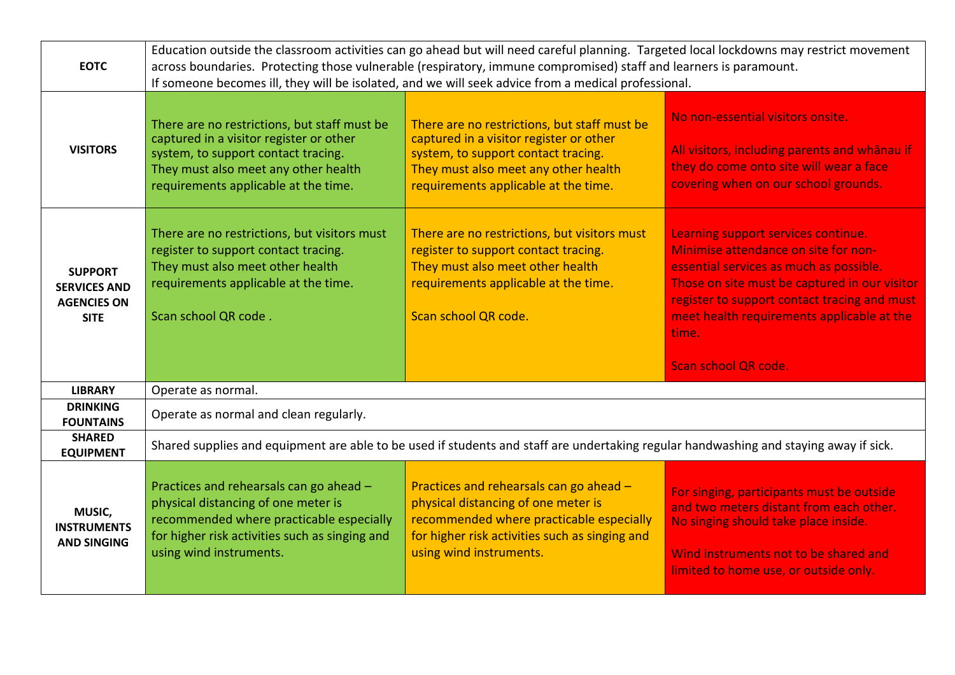| <b>EOTC</b>                                                                | Education outside the classroom activities can go ahead but will need careful planning. Targeted local lockdowns may restrict movement<br>across boundaries. Protecting those vulnerable (respiratory, immune compromised) staff and learners is paramount.<br>If someone becomes ill, they will be isolated, and we will seek advice from a medical professional. |                                                                                                                                                                                                                |                                                                                                                                                                                                                                                                                                        |
|----------------------------------------------------------------------------|--------------------------------------------------------------------------------------------------------------------------------------------------------------------------------------------------------------------------------------------------------------------------------------------------------------------------------------------------------------------|----------------------------------------------------------------------------------------------------------------------------------------------------------------------------------------------------------------|--------------------------------------------------------------------------------------------------------------------------------------------------------------------------------------------------------------------------------------------------------------------------------------------------------|
| <b>VISITORS</b>                                                            | There are no restrictions, but staff must be<br>captured in a visitor register or other<br>system, to support contact tracing.<br>They must also meet any other health<br>requirements applicable at the time.                                                                                                                                                     | There are no restrictions, but staff must be<br>captured in a visitor register or other<br>system, to support contact tracing.<br>They must also meet any other health<br>requirements applicable at the time. | No non-essential visitors onsite.<br>All visitors, including parents and whanau if<br>they do come onto site will wear a face<br>covering when on our school grounds.                                                                                                                                  |
| <b>SUPPORT</b><br><b>SERVICES AND</b><br><b>AGENCIES ON</b><br><b>SITE</b> | There are no restrictions, but visitors must<br>register to support contact tracing.<br>They must also meet other health<br>requirements applicable at the time.<br>Scan school QR code.                                                                                                                                                                           | There are no restrictions, but visitors must<br>register to support contact tracing.<br>They must also meet other health<br>requirements applicable at the time.<br>Scan school QR code.                       | Learning support services continue.<br>Minimise attendance on site for non-<br>essential services as much as possible.<br>Those on site must be captured in our visitor<br>register to support contact tracing and must<br>meet health requirements applicable at the<br>time.<br>Scan school QR code. |
| <b>LIBRARY</b>                                                             | Operate as normal.                                                                                                                                                                                                                                                                                                                                                 |                                                                                                                                                                                                                |                                                                                                                                                                                                                                                                                                        |
| <b>DRINKING</b><br><b>FOUNTAINS</b>                                        | Operate as normal and clean regularly.                                                                                                                                                                                                                                                                                                                             |                                                                                                                                                                                                                |                                                                                                                                                                                                                                                                                                        |
| <b>SHARED</b><br><b>EQUIPMENT</b>                                          | Shared supplies and equipment are able to be used if students and staff are undertaking regular handwashing and staying away if sick.                                                                                                                                                                                                                              |                                                                                                                                                                                                                |                                                                                                                                                                                                                                                                                                        |
| MUSIC,<br><b>INSTRUMENTS</b><br><b>AND SINGING</b>                         | Practices and rehearsals can go ahead -<br>physical distancing of one meter is<br>recommended where practicable especially<br>for higher risk activities such as singing and<br>using wind instruments.                                                                                                                                                            | Practices and rehearsals can go ahead -<br>physical distancing of one meter is<br>recommended where practicable especially<br>for higher risk activities such as singing and<br>using wind instruments.        | For singing, participants must be outside<br>and two meters distant from each other.<br>No singing should take place inside.<br>Wind instruments not to be shared and<br>limited to home use, or outside only.                                                                                         |